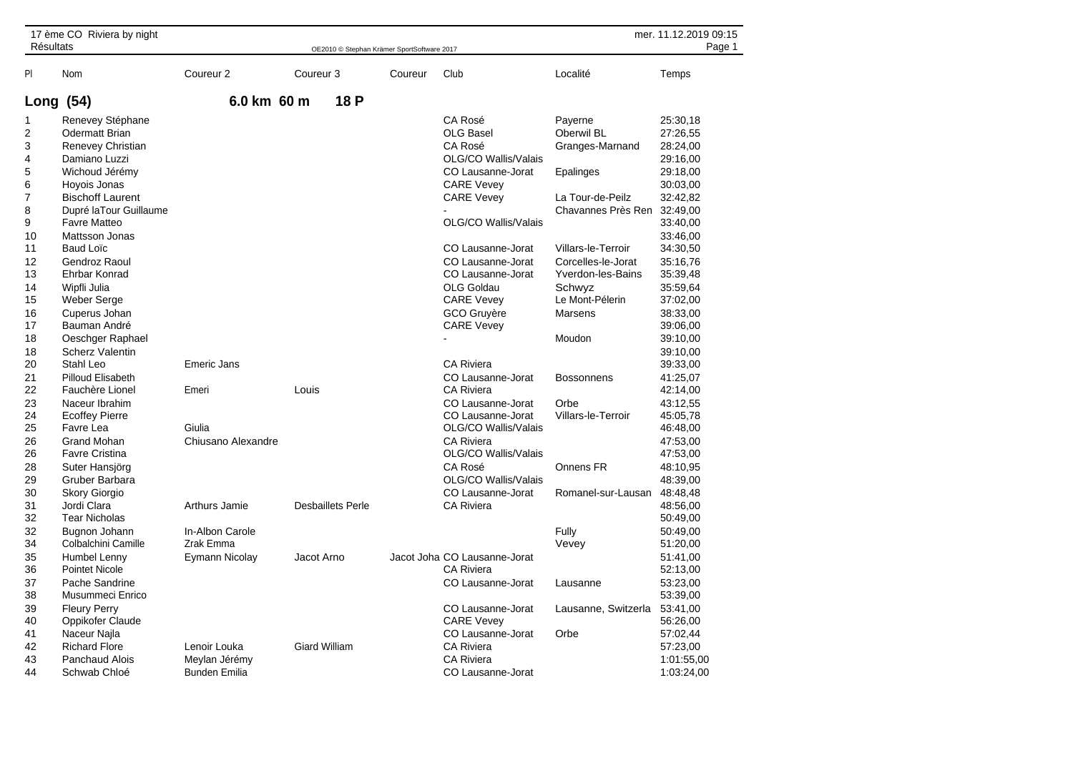| 17 ème CO Riviera by night<br><b>Résultats</b> |                         |                      | mer. 11.12.2019 09:15 |                          |                                            |                              |                     |            |
|------------------------------------------------|-------------------------|----------------------|-----------------------|--------------------------|--------------------------------------------|------------------------------|---------------------|------------|
|                                                |                         |                      |                       |                          | OE2010 © Stephan Krämer SportSoftware 2017 |                              |                     | Page 1     |
| PI                                             | Nom                     | Coureur <sub>2</sub> | Coureur <sub>3</sub>  |                          | Coureur                                    | Club                         | Localité            | Temps      |
| Long (54)                                      |                         | 6.0 km 60 m          |                       | 18 P                     |                                            |                              |                     |            |
| 1                                              | Renevey Stéphane        |                      |                       |                          |                                            | CA Rosé                      | Payerne             | 25:30,18   |
| $\overline{2}$                                 | <b>Odermatt Brian</b>   |                      |                       |                          |                                            | OLG Basel                    | Oberwil BL          | 27:26,55   |
| 3                                              | Renevey Christian       |                      |                       |                          |                                            | CA Rosé                      | Granges-Marnand     | 28:24,00   |
| 4                                              | Damiano Luzzi           |                      |                       |                          |                                            | OLG/CO Wallis/Valais         |                     | 29:16,00   |
| 5                                              | Wichoud Jérémy          |                      |                       |                          |                                            | CO Lausanne-Jorat            | Epalinges           | 29:18.00   |
| 6                                              | Hoyois Jonas            |                      |                       |                          |                                            | <b>CARE Vevey</b>            |                     | 30:03,00   |
| 7                                              | <b>Bischoff Laurent</b> |                      |                       |                          |                                            | <b>CARE Vevev</b>            | La Tour-de-Peilz    | 32:42,82   |
| 8                                              | Dupré laTour Guillaume  |                      |                       |                          |                                            |                              | Chavannes Près Ren  | 32:49,00   |
| 9                                              | <b>Favre Matteo</b>     |                      |                       |                          |                                            | OLG/CO Wallis/Valais         |                     | 33:40,00   |
| 10                                             | Mattsson Jonas          |                      |                       |                          |                                            |                              |                     | 33:46,00   |
| 11                                             | <b>Baud Loïc</b>        |                      |                       |                          |                                            | CO Lausanne-Jorat            | Villars-le-Terroir  | 34:30,50   |
| 12                                             | Gendroz Raoul           |                      |                       |                          |                                            | CO Lausanne-Jorat            | Corcelles-le-Jorat  | 35:16,76   |
| 13                                             | Ehrbar Konrad           |                      |                       |                          |                                            | CO Lausanne-Jorat            | Yverdon-les-Bains   | 35:39,48   |
| 14                                             | Wipfli Julia            |                      |                       |                          |                                            | OLG Goldau                   | Schwyz              | 35:59.64   |
| 15                                             | Weber Serge             |                      |                       |                          |                                            | <b>CARE Vevey</b>            | Le Mont-Pélerin     | 37:02,00   |
| 16                                             | Cuperus Johan           |                      |                       |                          |                                            | GCO Gruyère                  | Marsens             | 38:33,00   |
| 17                                             | Bauman André            |                      |                       |                          |                                            | <b>CARE Vevey</b>            |                     | 39:06.00   |
| 18                                             | Oeschger Raphael        |                      |                       |                          |                                            |                              | Moudon              | 39:10,00   |
| 18                                             | <b>Scherz Valentin</b>  |                      |                       |                          |                                            |                              |                     | 39:10.00   |
| 20                                             | Stahl Leo               | <b>Emeric Jans</b>   |                       |                          |                                            | <b>CA Riviera</b>            |                     | 39:33,00   |
| 21                                             | Pilloud Elisabeth       |                      |                       |                          |                                            | CO Lausanne-Jorat            | <b>Bossonnens</b>   | 41:25,07   |
| 22                                             | Fauchère Lionel         | Emeri                | Louis                 |                          |                                            | <b>CA Riviera</b>            |                     | 42:14,00   |
| 23                                             | Naceur Ibrahim          |                      |                       |                          |                                            | CO Lausanne-Jorat            | Orbe                | 43:12,55   |
| 24                                             | <b>Ecoffey Pierre</b>   |                      |                       |                          |                                            | CO Lausanne-Jorat            | Villars-le-Terroir  | 45:05,78   |
| 25                                             | Favre Lea               | Giulia               |                       |                          |                                            | OLG/CO Wallis/Valais         |                     | 46:48,00   |
| 26                                             | <b>Grand Mohan</b>      | Chiusano Alexandre   |                       |                          |                                            | <b>CA Riviera</b>            |                     | 47:53,00   |
| 26                                             | <b>Favre Cristina</b>   |                      |                       |                          |                                            | OLG/CO Wallis/Valais         |                     | 47:53,00   |
| 28                                             | Suter Hansjörg          |                      |                       |                          |                                            | CA Rosé                      | Onnens FR           | 48:10,95   |
| 29                                             | Gruber Barbara          |                      |                       |                          |                                            | OLG/CO Wallis/Valais         |                     | 48:39,00   |
| 30                                             | <b>Skory Giorgio</b>    |                      |                       |                          |                                            | CO Lausanne-Jorat            | Romanel-sur-Lausan  | 48:48,48   |
| 31                                             | Jordi Clara             | Arthurs Jamie        |                       | <b>Desbaillets Perle</b> |                                            | <b>CA Riviera</b>            |                     | 48:56,00   |
| 32                                             | <b>Tear Nicholas</b>    |                      |                       |                          |                                            |                              |                     | 50:49,00   |
| 32                                             | Bugnon Johann           | In-Albon Carole      |                       |                          |                                            |                              | Fully               | 50:49,00   |
| 34                                             | Colbalchini Camille     | Zrak Emma            |                       |                          |                                            |                              | Vevey               | 51:20,00   |
| 35                                             | Humbel Lenny            | Eymann Nicolay       | Jacot Arno            |                          |                                            | Jacot Joha CO Lausanne-Jorat |                     | 51:41,00   |
| 36                                             | Pointet Nicole          |                      |                       |                          |                                            | <b>CA Riviera</b>            |                     | 52:13,00   |
| 37                                             | Pache Sandrine          |                      |                       |                          |                                            | CO Lausanne-Jorat            | Lausanne            | 53:23,00   |
| 38                                             | Musummeci Enrico        |                      |                       |                          |                                            |                              |                     | 53:39,00   |
| 39                                             | <b>Fleury Perry</b>     |                      |                       |                          |                                            | CO Lausanne-Jorat            | Lausanne, Switzerla | 53:41,00   |
| 40                                             | Oppikofer Claude        |                      |                       |                          |                                            | <b>CARE Vevey</b>            |                     | 56:26,00   |
| 41                                             | Naceur Najla            |                      |                       |                          |                                            | CO Lausanne-Jorat            | Orbe                | 57:02,44   |
| 42                                             | <b>Richard Flore</b>    | Lenoir Louka         | <b>Giard William</b>  |                          |                                            | <b>CA Riviera</b>            |                     | 57:23,00   |
| 43                                             | <b>Panchaud Alois</b>   | Meylan Jérémy        |                       |                          |                                            | <b>CA Riviera</b>            |                     | 1:01:55,00 |
| 44                                             | Schwab Chloé            | <b>Bunden Emilia</b> |                       |                          |                                            | CO Lausanne-Jorat            |                     | 1:03:24,00 |